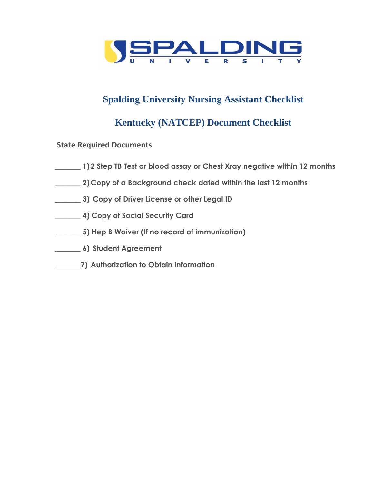

# **Spalding University Nursing Assistant Checklist**

## **Kentucky (NATCEP) Document Checklist**

**State Required Documents** 

- **\_\_\_\_\_\_\_ 1) 2 Step TB Test or blood assay or Chest Xray negative within 12 months**
- **\_\_\_\_\_\_\_ 2) Copy of a Background check dated within the last 12 months**
- **\_\_\_\_\_\_\_ 3) Copy of Driver License or other Legal ID**
- **\_\_\_\_\_\_\_ 4) Copy of Social Security Card**
- **\_\_\_\_\_\_\_ 5) Hep B Waiver (If no record of immunization)**
- **\_\_\_\_\_\_\_ 6) Student Agreement**
- **\_\_\_\_\_\_\_7) Authorization to Obtain Information**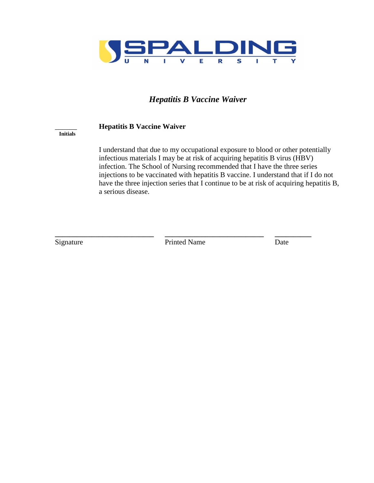

### *Hepatitis B Vaccine Waiver*

#### \_\_\_\_\_\_ **Hepatitis B Vaccine Waiver**

#### **Initials**

I understand that due to my occupational exposure to blood or other potentially infectious materials I may be at risk of acquiring hepatitis B virus (HBV) infection. The School of Nursing recommended that I have the three series injections to be vaccinated with hepatitis B vaccine. I understand that if I do not have the three injection series that I continue to be at risk of acquiring hepatitis B, a serious disease.

**\_\_\_\_\_\_\_\_\_\_\_\_\_\_\_\_\_\_\_\_\_\_\_\_\_\_\_ \_\_\_\_\_\_\_\_\_\_\_\_\_\_\_\_\_\_\_\_\_\_\_\_\_\_\_ \_\_\_\_\_\_\_\_\_\_** Signature **Printed Name** Date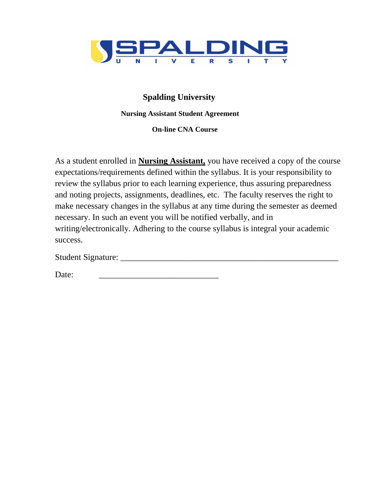

## **Spalding University**

### **Nursing Assistant Student Agreement**

 **On-line CNA Course**

As a student enrolled in **Nursing Assistant,** you have received a copy of the course expectations/requirements defined within the syllabus. It is your responsibility to review the syllabus prior to each learning experience, thus assuring preparedness and noting projects, assignments, deadlines, etc. The faculty reserves the right to make necessary changes in the syllabus at any time during the semester as deemed necessary. In such an event you will be notified verbally, and in writing/electronically. Adhering to the course syllabus is integral your academic success.

Student Signature: \_\_\_\_\_\_\_\_\_\_\_\_\_\_\_\_\_\_\_\_\_\_\_\_\_\_\_\_\_\_\_\_\_\_\_\_\_\_\_\_\_\_\_\_\_\_\_\_\_\_\_

Date: \_\_\_\_\_\_\_\_\_\_\_\_\_\_\_\_\_\_\_\_\_\_\_\_\_\_\_\_